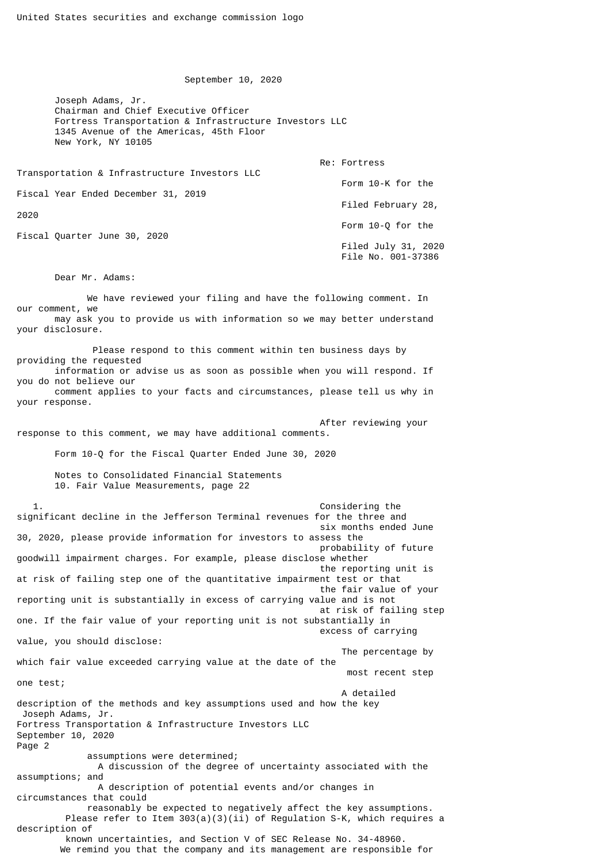September 10, 2020

 Joseph Adams, Jr. Chairman and Chief Executive Officer Fortress Transportation & Infrastructure Investors LLC 1345 Avenue of the Americas, 45th Floor New York, NY 10105

| Transportation & Infrastructure Investors LLC | Re: Fortress                                |
|-----------------------------------------------|---------------------------------------------|
|                                               | Form 10-K for the                           |
| Fiscal Year Ended December 31, 2019           | Filed February 28,                          |
| 2020                                          |                                             |
| Fiscal Quarter June 30, 2020                  | Form 10-0 for the                           |
|                                               | Filed July 31, $2020$<br>File No. 001-37386 |

Dear Mr. Adams:

 We have reviewed your filing and have the following comment. In our comment, we may ask you to provide us with information so we may better understand your disclosure.

 Please respond to this comment within ten business days by providing the requested information or advise us as soon as possible when you will respond. If you do not believe our

 comment applies to your facts and circumstances, please tell us why in your response.

After reviewing your

response to this comment, we may have additional comments.

Form 10-Q for the Fiscal Quarter Ended June 30, 2020

 Notes to Consolidated Financial Statements 10. Fair Value Measurements, page 22

 1. Considering the significant decline in the Jefferson Terminal revenues for the three and six months ended June 30, 2020, please provide information for investors to assess the probability of future goodwill impairment charges. For example, please disclose whether the reporting unit is at risk of failing step one of the quantitative impairment test or that the fair value of your reporting unit is substantially in excess of carrying value and is not at risk of failing step one. If the fair value of your reporting unit is not substantially in excess of carrying value, you should disclose: The percentage by which fair value exceeded carrying value at the date of the most recent step one test; A detailed description of the methods and key assumptions used and how the key Joseph Adams, Jr. Fortress Transportation & Infrastructure Investors LLC September 10, 2020 Page 2 assumptions were determined; A discussion of the degree of uncertainty associated with the assumptions; and A description of potential events and/or changes in circumstances that could reasonably be expected to negatively affect the key assumptions. Please refer to Item 303(a)(3)(ii) of Regulation S-K, which requires a description of known uncertainties, and Section V of SEC Release No. 34-48960. We remind you that the company and its management are responsible for